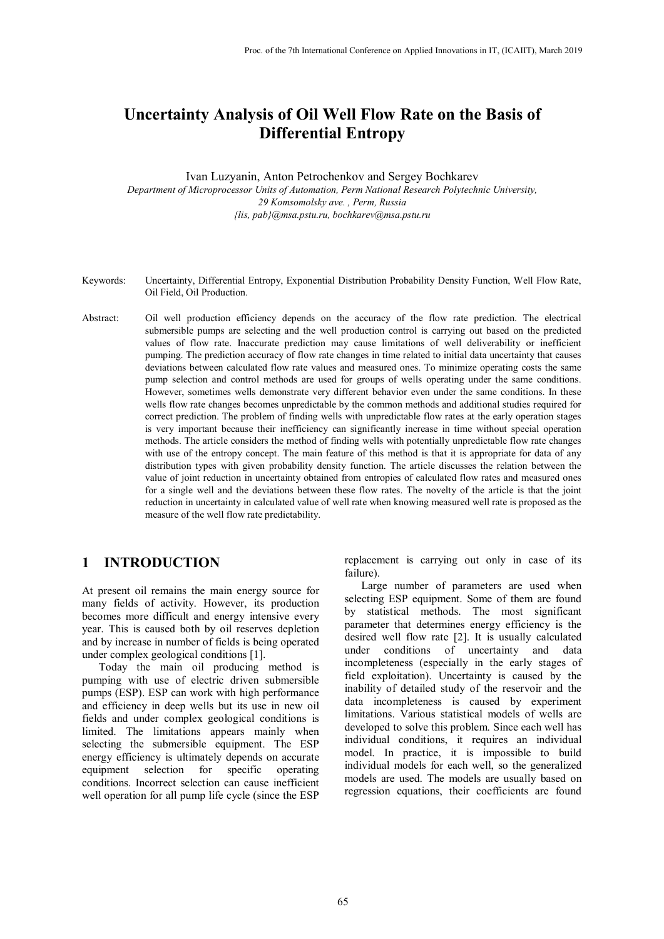# **Uncertainty Analysis of Oil Well Flow Rate on the Basis of Differential Entropy**

Ivan Luzyanin, Anton Petrochenkov and Sergey Bochkarev *Department of Microprocessor Units of Automation, Perm National Research Polytechnic University, 29 Komsomolsky ave. , Perm, Russia {lis, pab}@msa.pstu.ru, bochkarev@msa.pstu.ru*

- Keywords: Uncertainty, Differential Entropy, Exponential Distribution Probability Density Function, Well Flow Rate, Oil Field, Oil Production.
- Abstract: Oil well production efficiency depends on the accuracy of the flow rate prediction. The electrical submersible pumps are selecting and the well production control is carrying out based on the predicted values of flow rate. Inaccurate prediction may cause limitations of well deliverability or inefficient pumping. The prediction accuracy of flow rate changes in time related to initial data uncertainty that causes deviations between calculated flow rate values and measured ones. To minimize operating costs the same pump selection and control methods are used for groups of wells operating under the same conditions. However, sometimes wells demonstrate very different behavior even under the same conditions. In these wells flow rate changes becomes unpredictable by the common methods and additional studies required for correct prediction. The problem of finding wells with unpredictable flow rates at the early operation stages is very important because their inefficiency can significantly increase in time without special operation methods. The article considers the method of finding wells with potentially unpredictable flow rate changes with use of the entropy concept. The main feature of this method is that it is appropriate for data of any distribution types with given probability density function. The article discusses the relation between the value of joint reduction in uncertainty obtained from entropies of calculated flow rates and measured ones for a single well and the deviations between these flow rates. The novelty of the article is that the joint reduction in uncertainty in calculated value of well rate when knowing measured well rate is proposed as the measure of the well flow rate predictability.

### **1 INTRODUCTION**

At present oil remains the main energy source for many fields of activity. However, its production becomes more difficult and energy intensive every year. This is caused both by oil reserves depletion and by increase in number of fields is being operated under complex geological conditions [1].

Today the main oil producing method is pumping with use of electric driven submersible pumps (ESP). ESP can work with high performance and efficiency in deep wells but its use in new oil fields and under complex geological conditions is limited. The limitations appears mainly when selecting the submersible equipment. The ESP energy efficiency is ultimately depends on accurate equipment selection for specific operating conditions. Incorrect selection can cause inefficient well operation for all pump life cycle (since the ESP

replacement is carrying out only in case of its failure).

Large number of parameters are used when selecting ESP equipment. Some of them are found by statistical methods. The most significant parameter that determines energy efficiency is the desired well flow rate [2]. It is usually calculated under conditions of uncertainty and data incompleteness (especially in the early stages of field exploitation). Uncertainty is caused by the inability of detailed study of the reservoir and the data incompleteness is caused by experiment limitations. Various statistical models of wells are developed to solve this problem. Since each well has individual conditions, it requires an individual model. In practice, it is impossible to build individual models for each well, so the generalized models are used. The models are usually based on regression equations, their coefficients are found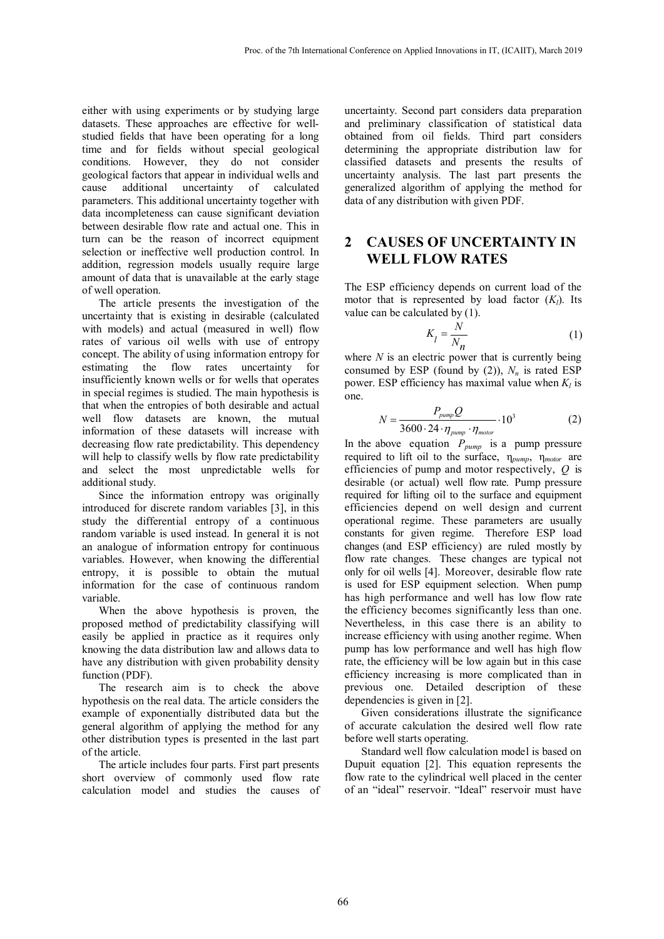either with using experiments or by studying large datasets. These approaches are effective for wellstudied fields that have been operating for a long time and for fields without special geological conditions. However, they do not consider geological factors that appear in individual wells and cause additional uncertainty of calculated parameters. This additional uncertainty together with data incompleteness can cause significant deviation between desirable flow rate and actual one. This in turn can be the reason of incorrect equipment selection or ineffective well production control. In addition, regression models usually require large amount of data that is unavailable at the early stage of well operation.

The article presents the investigation of the uncertainty that is existing in desirable (calculated with models) and actual (measured in well) flow rates of various oil wells with use of entropy concept. The ability of using information entropy for estimating the flow rates uncertainty for insufficiently known wells or for wells that operates in special regimes is studied. The main hypothesis is that when the entropies of both desirable and actual well flow datasets are known, the mutual information of these datasets will increase with decreasing flow rate predictability. This dependency will help to classify wells by flow rate predictability and select the most unpredictable wells for additional study.

Since the information entropy was originally introduced for discrete random variables [3], in this study the differential entropy of a continuous random variable is used instead. In general it is not an analogue of information entropy for continuous variables. However, when knowing the differential entropy, it is possible to obtain the mutual information for the case of continuous random variable.

When the above hypothesis is proven, the proposed method of predictability classifying will easily be applied in practice as it requires only knowing the data distribution law and allows data to have any distribution with given probability density function (PDF).

The research aim is to check the above hypothesis on the real data. The article considers the example of exponentially distributed data but the general algorithm of applying the method for any other distribution types is presented in the last part of the article.

The article includes four parts. First part presents short overview of commonly used flow rate calculation model and studies the causes of

uncertainty. Second part considers data preparation and preliminary classification of statistical data obtained from oil fields. Third part considers determining the appropriate distribution law for classified datasets and presents the results of uncertainty analysis. The last part presents the generalized algorithm of applying the method for data of any distribution with given PDF.

## **2 CAUSES OF UNCERTAINTY IN WELL FLOW RATES**

The ESP efficiency depends on current load of the motor that is represented by load factor  $(K_l)$ . Its value can be calculated by (1).

$$
K_l = \frac{N}{N_n} \tag{1}
$$

where *N* is an electric power that is currently being consumed by ESP (found by  $(2)$ ),  $N_n$  is rated ESP power. ESP efficiency has maximal value when  $K_l$  is one.

$$
N = \frac{P_{pump}Q}{3600 \cdot 24 \cdot \eta_{pump} \cdot \eta_{motor}} \cdot 10^3
$$
 (2)

In the above equation  $P_{pump}$  is a pump pressure required to lift oil to the surface, η*pump*, η*motor* are efficiencies of pump and motor respectively, *Q* is desirable (or actual) well flow rate. Pump pressure required for lifting oil to the surface and equipment efficiencies depend on well design and current operational regime. These parameters are usually constants for given regime. Therefore ESP load changes (and ESP efficiency) are ruled mostly by flow rate changes. These changes are typical not only for oil wells [4]. Moreover, desirable flow rate is used for ESP equipment selection. When pump has high performance and well has low flow rate the efficiency becomes significantly less than one. Nevertheless, in this case there is an ability to increase efficiency with using another regime. When pump has low performance and well has high flow rate, the efficiency will be low again but in this case efficiency increasing is more complicated than in previous one. Detailed description of these dependencies is given in [2].

Given considerations illustrate the significance of accurate calculation the desired well flow rate before well starts operating.

Standard well flow calculation model is based on Dupuit equation [2]. This equation represents the flow rate to the cylindrical well placed in the center of an "ideal" reservoir. "Ideal" reservoir must have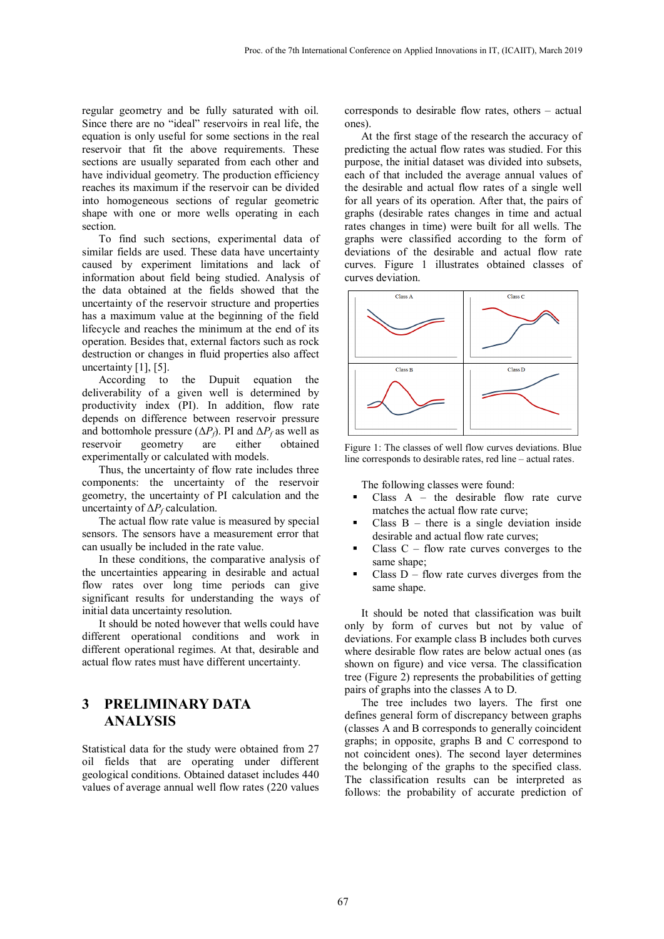regular geometry and be fully saturated with oil. Since there are no "ideal" reservoirs in real life, the equation is only useful for some sections in the real reservoir that fit the above requirements. These sections are usually separated from each other and have individual geometry. The production efficiency reaches its maximum if the reservoir can be divided into homogeneous sections of regular geometric shape with one or more wells operating in each section.

To find such sections, experimental data of similar fields are used. These data have uncertainty caused by experiment limitations and lack of information about field being studied. Analysis of the data obtained at the fields showed that the uncertainty of the reservoir structure and properties has a maximum value at the beginning of the field lifecycle and reaches the minimum at the end of its operation. Besides that, external factors such as rock destruction or changes in fluid properties also affect uncertainty  $[1]$ ,  $[5]$ .

According to the Dupuit equation the deliverability of a given well is determined by productivity index (PI). In addition, flow rate depends on difference between reservoir pressure and bottomhole pressure  $(\Delta P_f)$ . PI and  $\Delta P_f$  as well as reservoir geometry are either obtained geometry experimentally or calculated with models.

Thus, the uncertainty of flow rate includes three components: the uncertainty of the reservoir geometry, the uncertainty of PI calculation and the uncertainty of  $\Delta P_f$  calculation.

The actual flow rate value is measured by special sensors. The sensors have a measurement error that can usually be included in the rate value.

In these conditions, the comparative analysis of the uncertainties appearing in desirable and actual flow rates over long time periods can give significant results for understanding the ways of initial data uncertainty resolution.

It should be noted however that wells could have different operational conditions and work in different operational regimes. At that, desirable and actual flow rates must have different uncertainty.

## **3 PRELIMINARY DATA ANALYSIS**

Statistical data for the study were obtained from 27 oil fields that are operating under different geological conditions. Obtained dataset includes 440 values of average annual well flow rates (220 values corresponds to desirable flow rates, others – actual ones).

At the first stage of the research the accuracy of predicting the actual flow rates was studied. For this purpose, the initial dataset was divided into subsets, each of that included the average annual values of the desirable and actual flow rates of a single well for all years of its operation. After that, the pairs of graphs (desirable rates changes in time and actual rates changes in time) were built for all wells. The graphs were classified according to the form of deviations of the desirable and actual flow rate curves. Figure 1 illustrates obtained classes of curves deviation.



Figure 1: The classes of well flow curves deviations. Blue line corresponds to desirable rates, red line – actual rates.

The following classes were found:

- Class  $A the desirable flow rate curve$ matches the actual flow rate curve;
- Class  $B -$  there is a single deviation inside desirable and actual flow rate curves;
- Class C flow rate curves converges to the same shape;
- Class  $D -$  flow rate curves diverges from the same shape.

It should be noted that classification was built only by form of curves but not by value of deviations. For example class B includes both curves where desirable flow rates are below actual ones (as shown on figure) and vice versa. The classification tree (Figure 2) represents the probabilities of getting pairs of graphs into the classes A to D.

The tree includes two layers. The first one defines general form of discrepancy between graphs (classes A and B corresponds to generally coincident graphs; in opposite, graphs B and C correspond to not coincident ones). The second layer determines the belonging of the graphs to the specified class. The classification results can be interpreted as follows: the probability of accurate prediction of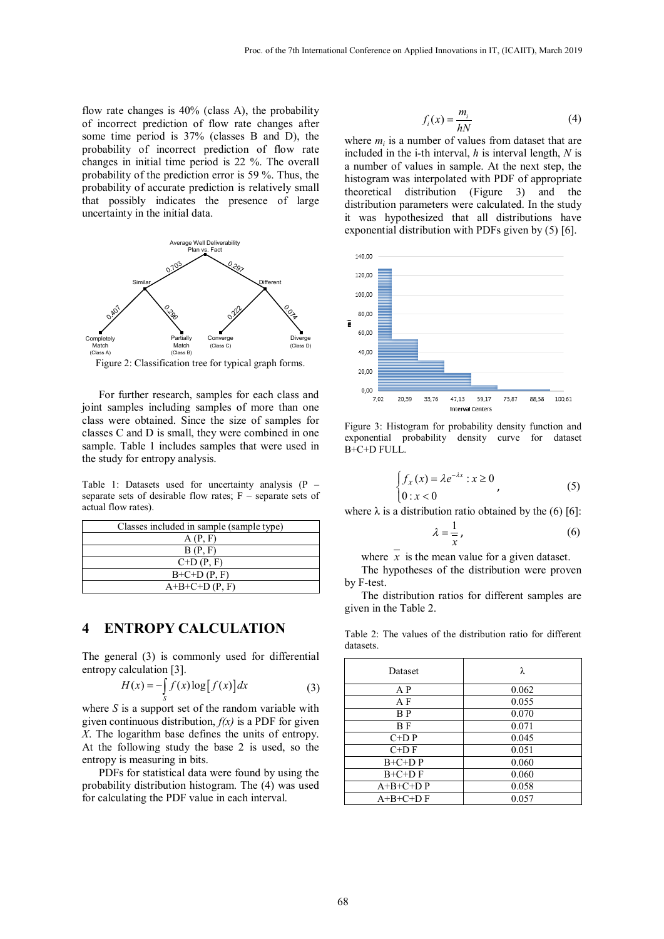flow rate changes is 40% (class A), the probability of incorrect prediction of flow rate changes after some time period is 37% (classes B and D), the probability of incorrect prediction of flow rate changes in initial time period is 22 %. The overall probability of the prediction error is 59 %. Thus, the probability of accurate prediction is relatively small that possibly indicates the presence of large uncertainty in the initial data.



Figure 2: Classification tree for typical graph forms.

For further research, samples for each class and joint samples including samples of more than one class were obtained. Since the size of samples for classes C and D is small, they were combined in one sample. Table 1 includes samples that were used in the study for entropy analysis.

Table 1: Datasets used for uncertainty analysis  $(P$ separate sets of desirable flow rates;  $F -$  separate sets of actual flow rates).

| Classes included in sample (sample type) |  |  |
|------------------------------------------|--|--|
| A(P, F)                                  |  |  |
| B(P, F)                                  |  |  |
| $C+D(P, F)$                              |  |  |
| $B+C+D(P, F)$                            |  |  |
| $A+B+C+D(P, F)$                          |  |  |

## **4 ENTROPY CALCULATION**

The general (3) is commonly used for differential entropy calculation [3].

$$
H(x) = -\int_{S} f(x) \log[f(x)] dx
$$
 (3)

where *S* is a support set of the random variable with given continuous distribution,  $f(x)$  is a PDF for given *X*. The logarithm base defines the units of entropy. At the following study the base 2 is used, so the entropy is measuring in bits.

PDFs for statistical data were found by using the probability distribution histogram. The (4) was used for calculating the PDF value in each interval.

$$
f_i(x) = \frac{m_i}{hN} \tag{4}
$$

where  $m_i$  is a number of values from dataset that are included in the i*-*th interval, *h* is interval length, *N* is a number of values in sample. At the next step, the histogram was interpolated with PDF of appropriate theoretical distribution (Figure 3) and the distribution parameters were calculated. In the study it was hypothesized that all distributions have exponential distribution with PDFs given by (5) [6].



Figure 3: Histogram for probability density function and exponential probability density curve for dataset B+C+D FULL.

$$
\begin{cases} f_X(x) = \lambda e^{-\lambda x} : x \ge 0 \\ 0 : x < 0 \end{cases}, \tag{5}
$$

where  $\lambda$  is a distribution ratio obtained by the (6) [6]:

$$
\lambda = \frac{1}{x},\tag{6}
$$

where  $\overline{x}$  is the mean value for a given dataset.

The hypotheses of the distribution were proven by F-test.

The distribution ratios for different samples are given in the Table 2.

Table 2: The values of the distribution ratio for different datasets.

| Dataset        | λ     |
|----------------|-------|
| A P            | 0.062 |
| A F            | 0.055 |
| B <sub>P</sub> | 0.070 |
| B F            | 0.071 |
| $C+D P$        | 0.045 |
| $C+D F$        | 0.051 |
| $B+C+D$ $P$    | 0.060 |
| $B+C+D F$      | 0.060 |
| $A+B+C+D$ P    | 0.058 |
| $A+B+C+D F$    | 0.057 |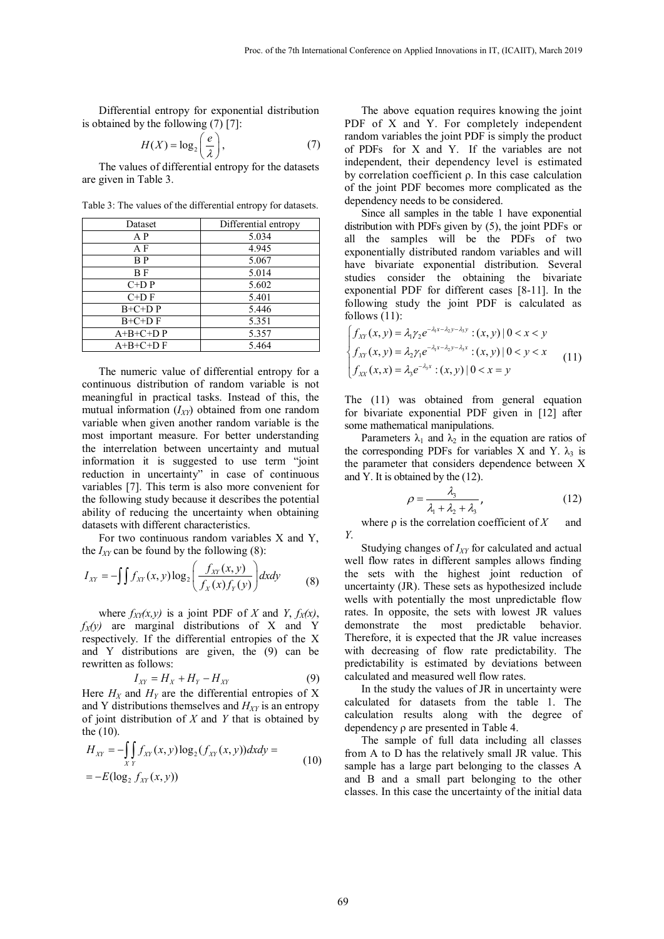Differential entropy for exponential distribution is obtained by the following (7) [7]:

$$
H(X) = \log_2\left(\frac{e}{\lambda}\right),\tag{7}
$$

The values of differential entropy for the datasets are given in Table 3.

Dataset Differential entropy A P 5.034 A F 4.945 B P 5.067 B F 5.014  $C+DP$  5.602  $C+DF$  5.401 B+C+D P 5.446  $B+C+DF$  5.351  $A+B+C+D$  P 5.357  $A+B+C+DF$  5.464

Table 3: The values of the differential entropy for datasets.

The numeric value of differential entropy for a continuous distribution of random variable is not meaningful in practical tasks. Instead of this, the mutual information  $(I_{XY})$  obtained from one random variable when given another random variable is the most important measure. For better understanding the interrelation between uncertainty and mutual information it is suggested to use term "joint reduction in uncertainty" in case of continuous variables [7]. This term is also more convenient for the following study because it describes the potential ability of reducing the uncertainty when obtaining datasets with different characteristics.

For two continuous random variables X and Y, the  $I_{XY}$  can be found by the following  $(8)$ :

$$
I_{XY} = -\int \int f_{XY}(x, y) \log_2 \left( \frac{f_{XY}(x, y)}{f_X(x) f_Y(y)} \right) dxdy \tag{8}
$$

where  $f_{XY}(x, y)$  is a joint PDF of *X* and *Y*,  $f_X(x)$ ,  $f_X(y)$  are marginal distributions of X and Y respectively. If the differential entropies of the X and Y distributions are given, the (9) can be rewritten as follows:

$$
I_{XY} = H_X + H_Y - H_{XY} \tag{9}
$$

Here  $H_X$  and  $H_Y$  are the differential entropies of X and Y distributions themselves and  $H_{XY}$  is an entropy of joint distribution of *X* and *Y* that is obtained by the (10).

$$
H_{XY} = -\int_{XY} f_{XY}(x, y) \log_2(f_{XY}(x, y)) dx dy = -E(\log_2 f_{XY}(x, y))
$$
\n(10)

The above equation requires knowing the joint PDF of X and Y. For completely independent random variables the joint PDF is simply the product of PDFs for X and Y. If the variables are not independent, their dependency level is estimated by correlation coefficient ρ. In this case calculation of the joint PDF becomes more complicated as the dependency needs to be considered.

Since all samples in the table 1 have exponential distribution with PDFs given by (5), the joint PDFs or all the samples will be the PDFs of two exponentially distributed random variables and will have bivariate exponential distribution. Several studies consider the obtaining the bivariate exponential PDF for different cases [8-11]. In the following study the joint PDF is calculated as follows (11):

$$
\begin{cases}\nf_{XY}(x, y) = \lambda_1 \gamma_2 e^{-\lambda_1 x - \lambda_2 y - \lambda_3 y} : (x, y) | 0 < x < y \\
f_{XY}(x, y) = \lambda_2 \gamma_1 e^{-\lambda_1 x - \lambda_2 y - \lambda_3 x} : (x, y) | 0 < y < x \\
f_{XX}(x, x) = \lambda_3 e^{-\lambda_3 x} : (x, y) | 0 < x = y\n\end{cases}
$$
\n(11)

The (11) was obtained from general equation for bivariate exponential PDF given in [12] after some mathematical manipulations.

Parameters  $\lambda_1$  and  $\lambda_2$  in the equation are ratios of the corresponding PDFs for variables X and Y.  $\lambda_3$  is the parameter that considers dependence between X and Y. It is obtained by the (12).

$$
\rho = \frac{\lambda_3}{\lambda_1 + \lambda_2 + \lambda_3},\tag{12}
$$

where  $\rho$  is the correlation coefficient of *X* and *Y*.

Studying changes of *IXY* for calculated and actual well flow rates in different samples allows finding the sets with the highest joint reduction of uncertainty (JR). These sets as hypothesized include wells with potentially the most unpredictable flow rates. In opposite, the sets with lowest JR values demonstrate the most predictable behavior. Therefore, it is expected that the JR value increases with decreasing of flow rate predictability. The predictability is estimated by deviations between calculated and measured well flow rates.

In the study the values of JR in uncertainty were calculated for datasets from the table 1. The calculation results along with the degree of dependency ρ are presented in Table 4.

The sample of full data including all classes from A to D has the relatively small JR value. This sample has a large part belonging to the classes A and B and a small part belonging to the other classes. In this case the uncertainty of the initial data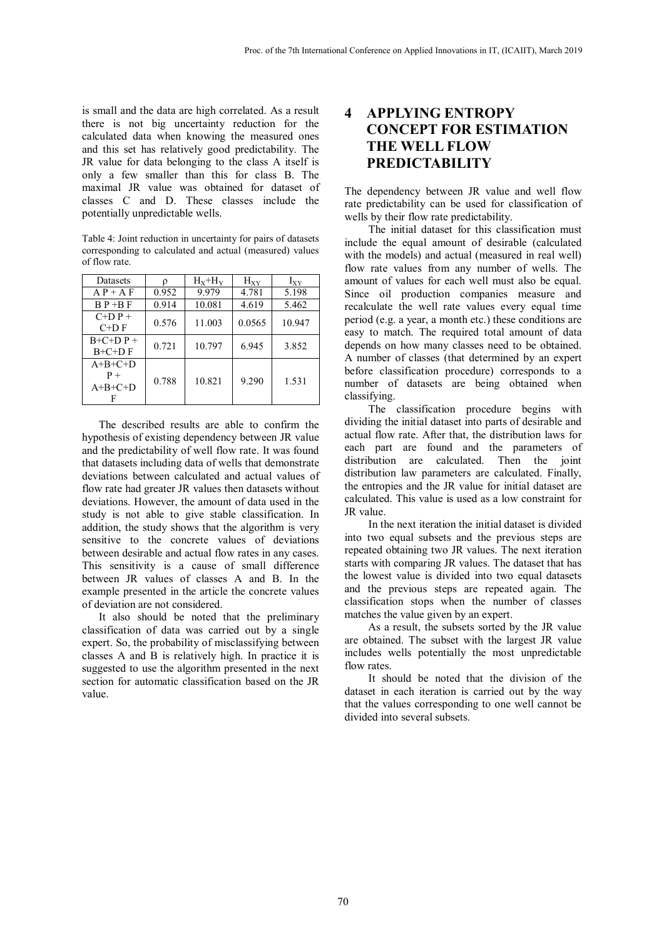is small and the data are high correlated. As a result there is not big uncertainty reduction for the calculated data when knowing the measured ones and this set has relatively good predictability. The JR value for data belonging to the class A itself is only a few smaller than this for class B. The maximal JR value was obtained for dataset of classes C and D. These classes include the potentially unpredictable wells.

Table 4: Joint reduction in uncertainty for pairs of datasets corresponding to calculated and actual (measured) values of flow rate.

| <b>Datasets</b>                      | Ω     | $H_x + H_y$ | $H_{XY}$ | $I_{XY}$ |
|--------------------------------------|-------|-------------|----------|----------|
| $AP + AF$                            | 0.952 | 9.979       | 4.781    | 5.198    |
| $B P + B F$                          | 0.914 | 10.081      | 4.619    | 5.462    |
| $C+D P +$<br>$C+D F$                 | 0.576 | 11.003      | 0.0565   | 10.947   |
| $B+C+D P +$<br>$B+C+D F$             | 0.721 | 10.797      | 6.945    | 3.852    |
| $A+B+C+D$<br>$P +$<br>$A+B+C+D$<br>F | 0.788 | 10.821      | 9.290    | 1.531    |

The described results are able to confirm the hypothesis of existing dependency between JR value and the predictability of well flow rate. It was found that datasets including data of wells that demonstrate deviations between calculated and actual values of flow rate had greater JR values then datasets without deviations. However, the amount of data used in the study is not able to give stable classification. In addition, the study shows that the algorithm is very sensitive to the concrete values of deviations between desirable and actual flow rates in any cases. This sensitivity is a cause of small difference between JR values of classes A and B. In the example presented in the article the concrete values of deviation are not considered.

It also should be noted that the preliminary classification of data was carried out by a single expert. So, the probability of misclassifying between classes A and B is relatively high. In practice it is suggested to use the algorithm presented in the next section for automatic classification based on the JR value.

## **4 APPLYING ENTROPY CONCEPT FOR ESTIMATION THE WELL FLOW PREDICTABILITY**

The dependency between JR value and well flow rate predictability can be used for classification of wells by their flow rate predictability.

The initial dataset for this classification must include the equal amount of desirable (calculated with the models) and actual (measured in real well) flow rate values from any number of wells. The amount of values for each well must also be equal. Since oil production companies measure and recalculate the well rate values every equal time period (e.g. a year, a month etc.) these conditions are easy to match. The required total amount of data depends on how many classes need to be obtained. A number of classes (that determined by an expert before classification procedure) corresponds to a number of datasets are being obtained when classifying.

The classification procedure begins with dividing the initial dataset into parts of desirable and actual flow rate. After that, the distribution laws for each part are found and the parameters of distribution are calculated. Then the joint distribution law parameters are calculated. Finally, the entropies and the JR value for initial dataset are calculated. This value is used as a low constraint for JR value.

In the next iteration the initial dataset is divided into two equal subsets and the previous steps are repeated obtaining two JR values. The next iteration starts with comparing JR values. The dataset that has the lowest value is divided into two equal datasets and the previous steps are repeated again. The classification stops when the number of classes matches the value given by an expert.

As a result, the subsets sorted by the JR value are obtained. The subset with the largest JR value includes wells potentially the most unpredictable flow rates.

It should be noted that the division of the dataset in each iteration is carried out by the way that the values corresponding to one well cannot be divided into several subsets.